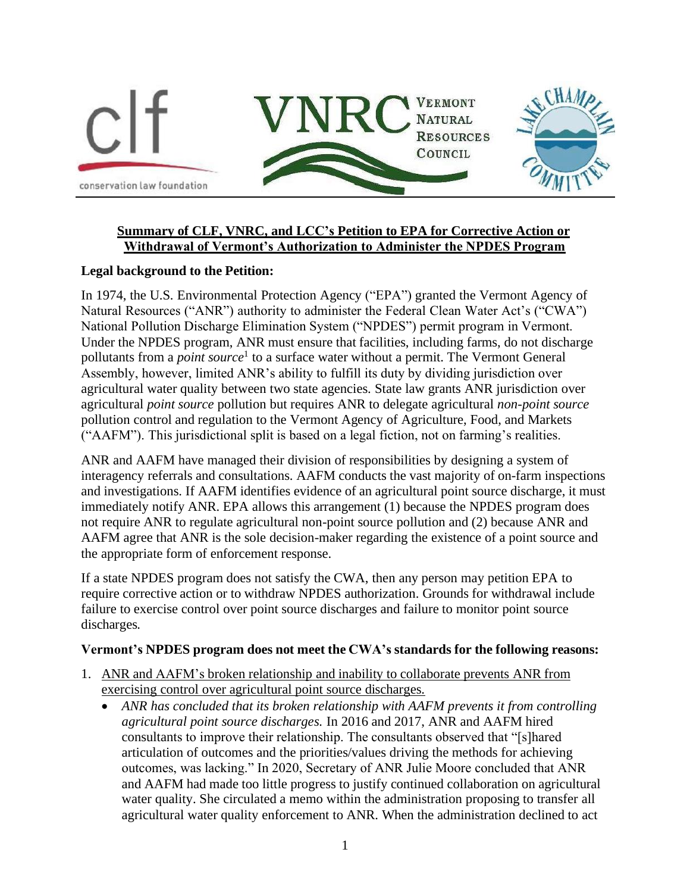

## **Summary of CLF, VNRC, and LCC's Petition to EPA for Corrective Action or Withdrawal of Vermont's Authorization to Administer the NPDES Program**

## **Legal background to the Petition:**

In 1974, the U.S. Environmental Protection Agency ("EPA") granted the Vermont Agency of Natural Resources ("ANR") authority to administer the Federal Clean Water Act's ("CWA") National Pollution Discharge Elimination System ("NPDES") permit program in Vermont. Under the NPDES program, ANR must ensure that facilities, including farms, do not discharge pollutants from a *point source*<sup>1</sup> to a surface water without a permit. The Vermont General Assembly, however, limited ANR's ability to fulfill its duty by dividing jurisdiction over agricultural water quality between two state agencies. State law grants ANR jurisdiction over agricultural *point source* pollution but requires ANR to delegate agricultural *non-point source*  pollution control and regulation to the Vermont Agency of Agriculture, Food, and Markets ("AAFM"). This jurisdictional split is based on a legal fiction, not on farming's realities.

ANR and AAFM have managed their division of responsibilities by designing a system of interagency referrals and consultations. AAFM conducts the vast majority of on-farm inspections and investigations. If AAFM identifies evidence of an agricultural point source discharge, it must immediately notify ANR. EPA allows this arrangement (1) because the NPDES program does not require ANR to regulate agricultural non-point source pollution and (2) because ANR and AAFM agree that ANR is the sole decision-maker regarding the existence of a point source and the appropriate form of enforcement response.

If a state NPDES program does not satisfy the CWA, then any person may petition EPA to require corrective action or to withdraw NPDES authorization. Grounds for withdrawal include failure to exercise control over point source discharges and failure to monitor point source discharges.

## **Vermont's NPDES program does not meet the CWA's standards for the following reasons:**

- 1. ANR and AAFM's broken relationship and inability to collaborate prevents ANR from exercising control over agricultural point source discharges.
	- *ANR has concluded that its broken relationship with AAFM prevents it from controlling agricultural point source discharges.* In 2016 and 2017, ANR and AAFM hired consultants to improve their relationship. The consultants observed that "[s]hared articulation of outcomes and the priorities/values driving the methods for achieving outcomes, was lacking." In 2020, Secretary of ANR Julie Moore concluded that ANR and AAFM had made too little progress to justify continued collaboration on agricultural water quality. She circulated a memo within the administration proposing to transfer all agricultural water quality enforcement to ANR. When the administration declined to act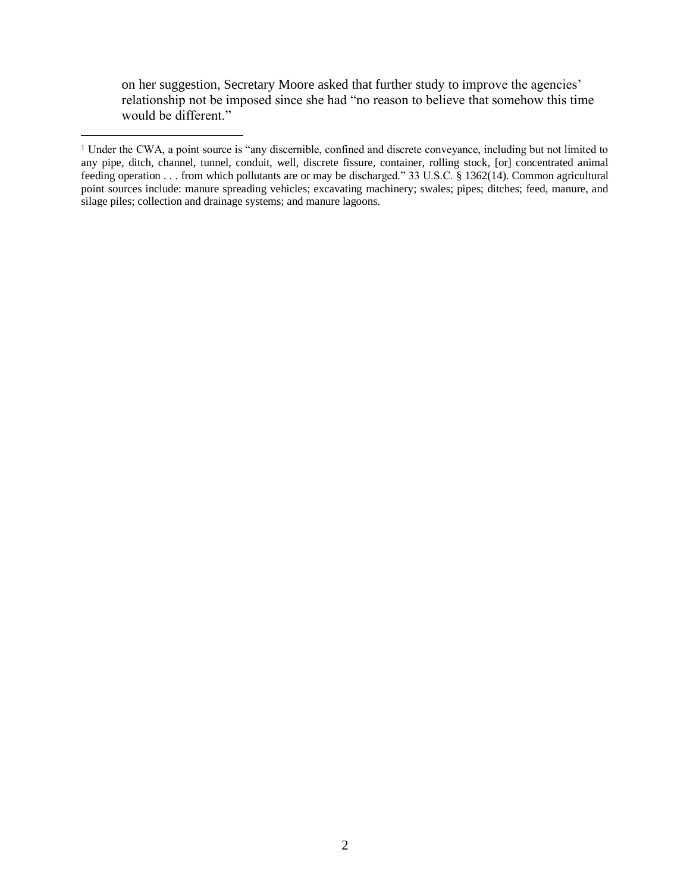on her suggestion, Secretary Moore asked that further study to improve the agencies' relationship not be imposed since she had "no reason to believe that somehow this time would be different."

<sup>&</sup>lt;sup>1</sup> Under the CWA, a point source is "any discernible, confined and discrete conveyance, including but not limited to any pipe, ditch, channel, tunnel, conduit, well, discrete fissure, container, rolling stock, [or] concentrated animal feeding operation . . . from which pollutants are or may be discharged." 33 U.S.C. § 1362(14). Common agricultural point sources include: manure spreading vehicles; excavating machinery; swales; pipes; ditches; feed, manure, and silage piles; collection and drainage systems; and manure lagoons.